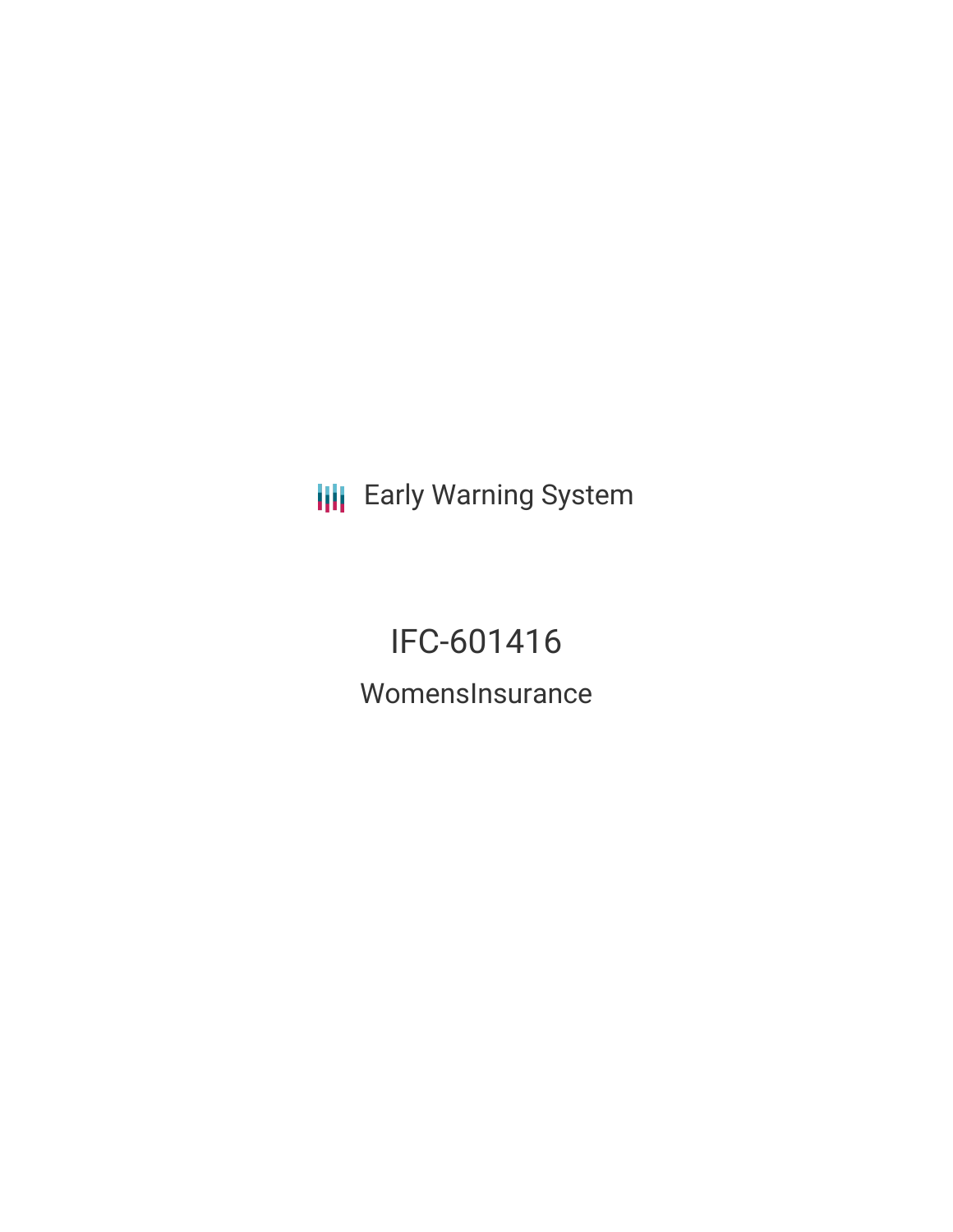**III** Early Warning System

# IFC-601416

WomensInsurance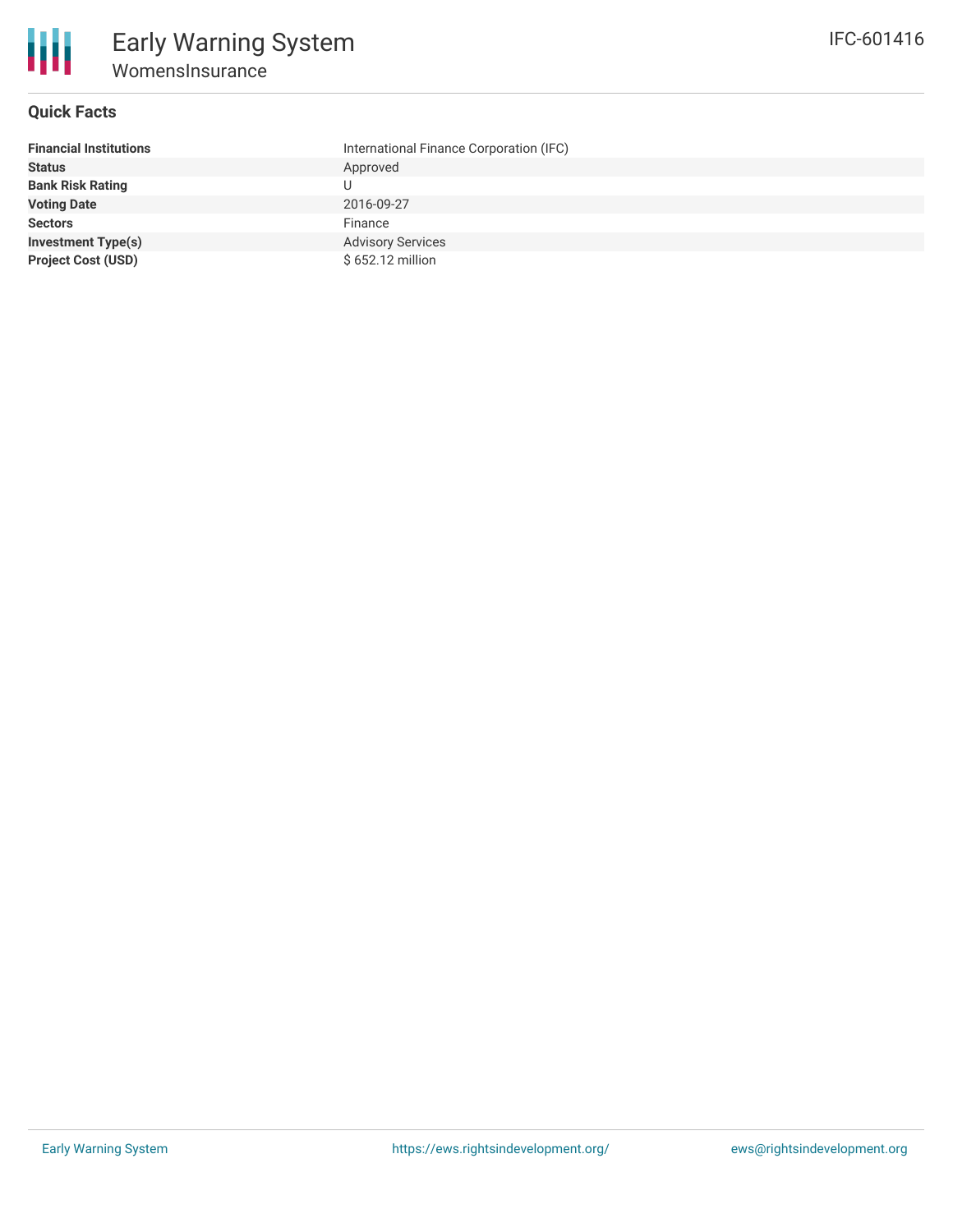

### **Quick Facts**

| <b>Financial Institutions</b> | International Finance Corporation (IFC) |
|-------------------------------|-----------------------------------------|
| <b>Status</b>                 | Approved                                |
| <b>Bank Risk Rating</b>       |                                         |
| <b>Voting Date</b>            | 2016-09-27                              |
| <b>Sectors</b>                | Finance                                 |
| <b>Investment Type(s)</b>     | <b>Advisory Services</b>                |
| <b>Project Cost (USD)</b>     | \$652.12 million                        |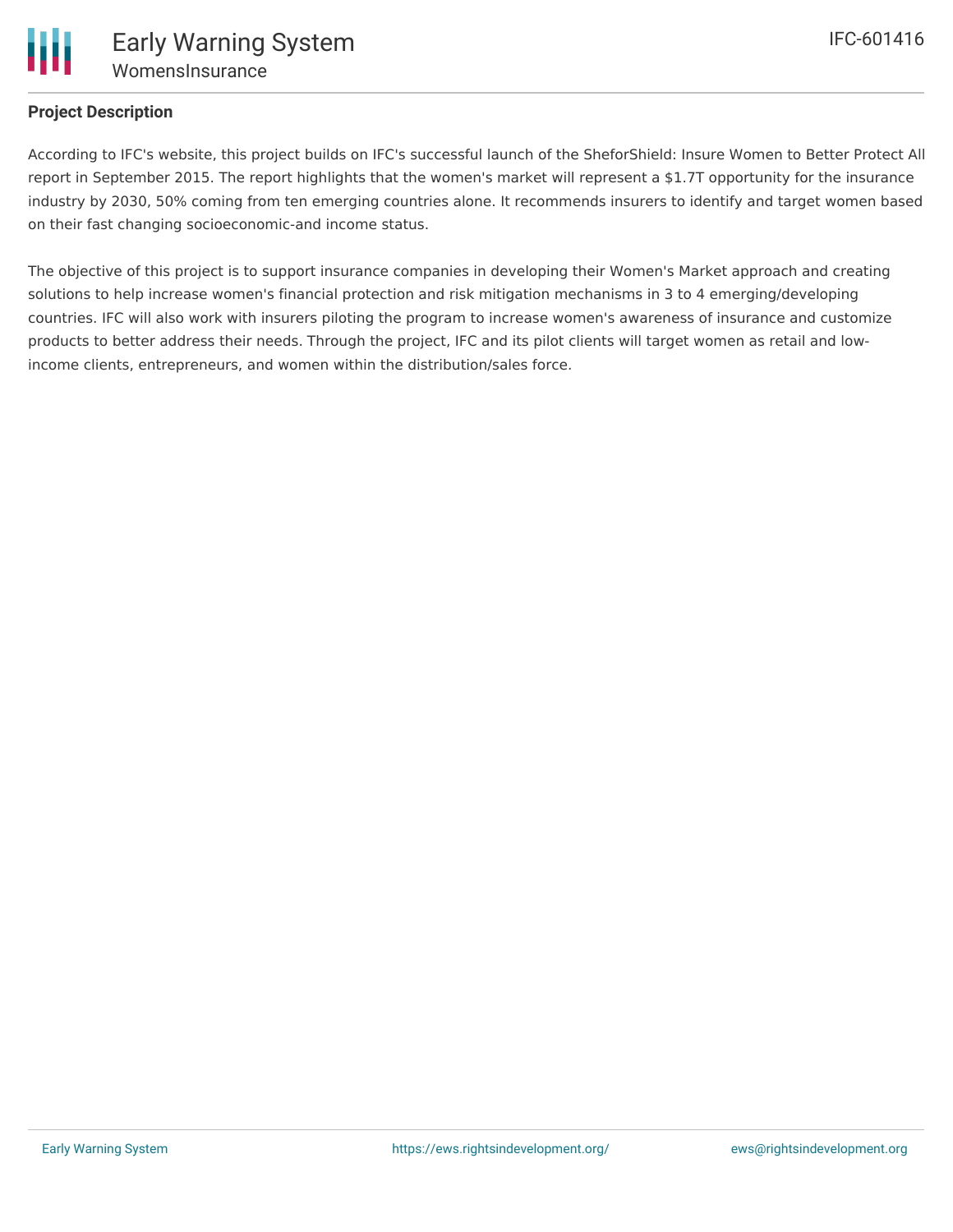## **Project Description**

According to IFC's website, this project builds on IFC's successful launch of the SheforShield: Insure Women to Better Protect All report in September 2015. The report highlights that the women's market will represent a \$1.7T opportunity for the insurance industry by 2030, 50% coming from ten emerging countries alone. It recommends insurers to identify and target women based on their fast changing socioeconomic-and income status.

The objective of this project is to support insurance companies in developing their Women's Market approach and creating solutions to help increase women's financial protection and risk mitigation mechanisms in 3 to 4 emerging/developing countries. IFC will also work with insurers piloting the program to increase women's awareness of insurance and customize products to better address their needs. Through the project, IFC and its pilot clients will target women as retail and lowincome clients, entrepreneurs, and women within the distribution/sales force.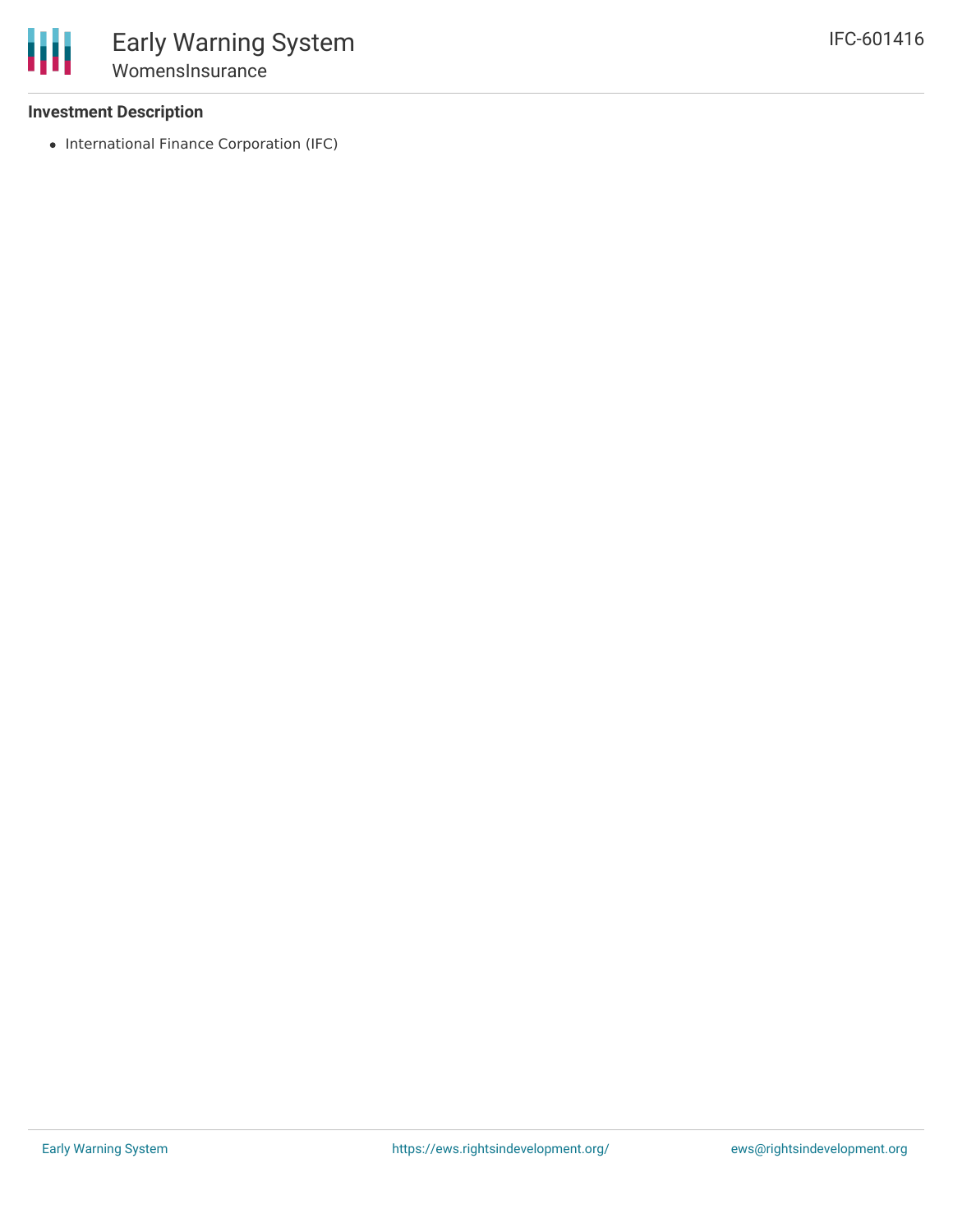#### **Investment Description**

• International Finance Corporation (IFC)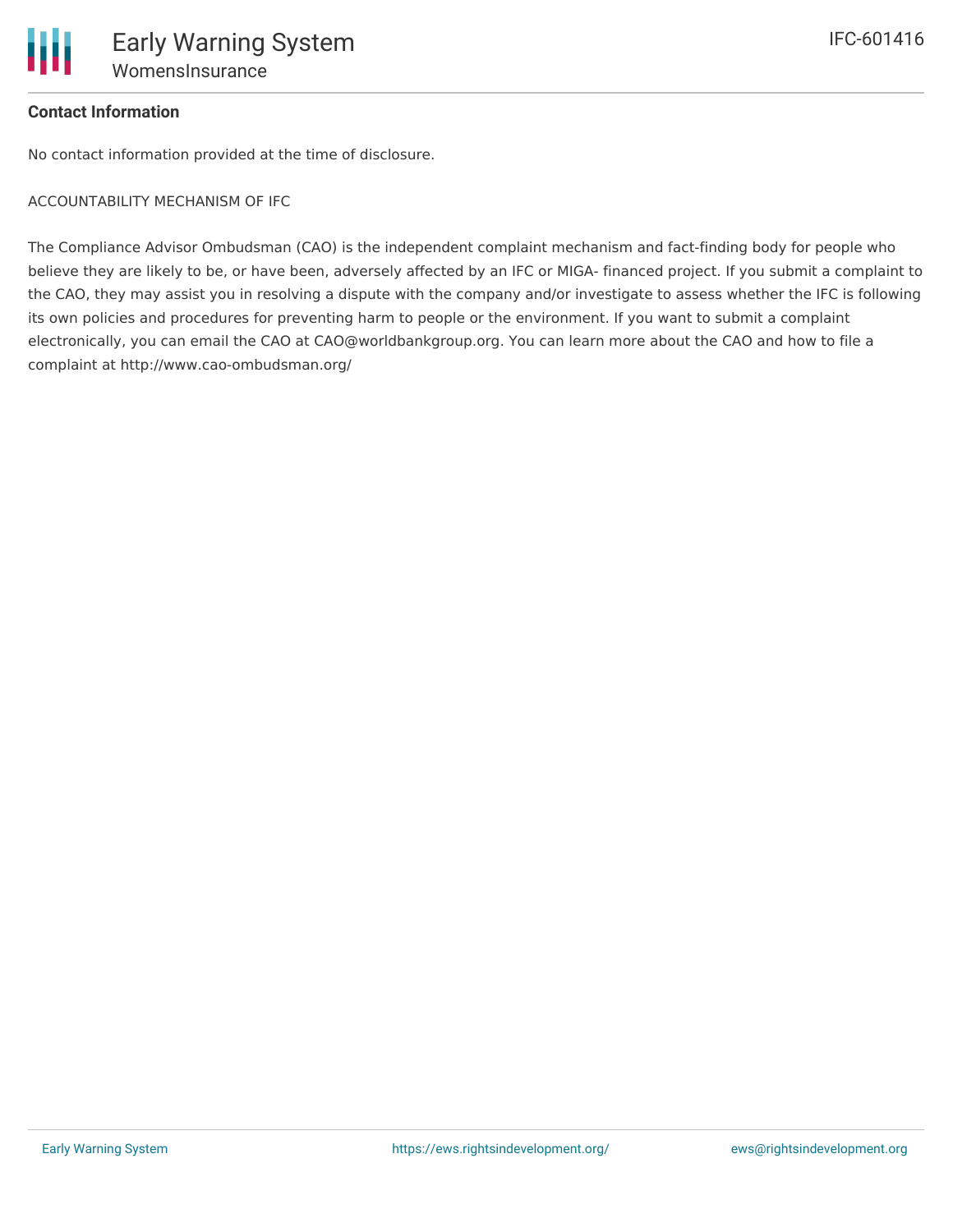### **Contact Information**

No contact information provided at the time of disclosure.

#### ACCOUNTABILITY MECHANISM OF IFC

The Compliance Advisor Ombudsman (CAO) is the independent complaint mechanism and fact-finding body for people who believe they are likely to be, or have been, adversely affected by an IFC or MIGA- financed project. If you submit a complaint to the CAO, they may assist you in resolving a dispute with the company and/or investigate to assess whether the IFC is following its own policies and procedures for preventing harm to people or the environment. If you want to submit a complaint electronically, you can email the CAO at CAO@worldbankgroup.org. You can learn more about the CAO and how to file a complaint at http://www.cao-ombudsman.org/